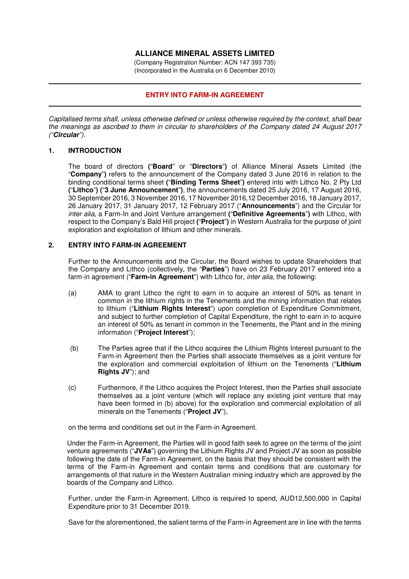# **ALLIANCE MINERAL ASSETS LIMITED**

(Company Registration Number: ACN 147 393 735) (Incorporated in the Australia on 6 December 2010)

## **ENTRY INTO FARM-IN AGREEMENT**

*Capitalised terms shall, unless otherwise defined or unless otherwise required by the context, shall bear the meanings as ascribed to them in circular to shareholders of the Company dated 24 August 2017 ("***Circular***").* 

### **1. INTRODUCTION**

The board of directors **(**"**Board**" or "**Directors**"**)** of Alliance Mineral Assets Limited (the "**Company**"**)** refers to the announcement of the Company dated 3 June 2016 in relation to the binding conditional terms sheet **(**"**Binding Terms Sheet**"**)** entered into with Lithco No. 2 Pty Ltd **(**"**Lithco**"**) (**"**3 June Announcement**"**)**, the announcements dated 25 July 2016, 17 August 2016, 30 September 2016, 3 November 2016, 17 November 2016,12 December 2016, 18 January 2017, 26 January 2017, 31 January 2017, 12 February 2017 ("**Announcements**") and the Circular for *inter alia*, a Farm-In and Joint Venture arrangement **(**"**Definitive Agreements**"**)** with Lithco, with respect to the Company's Bald Hill project **(**"**Project**"**)** in Western Australia for the purpose of joint exploration and exploitation of lithium and other minerals.

### **2. ENTRY INTO FARM-IN AGREEMENT**

Further to the Announcements and the Circular, the Board wishes to update Shareholders that the Company and Lithco (collectively, the "**Parties**") have on 23 February 2017 entered into a farm-in agreement ("**Farm-in Agreement**") with Lithco for, *inter alia*, the following:

- (a) AMA to grant Lithco the right to earn in to acquire an interest of 50% as tenant in common in the lithium rights in the Tenements and the mining information that relates to lithium ("**Lithium Rights Interest**") upon completion of Expenditure Commitment, and subject to further completion of Capital Expenditure, the right to earn in to acquire an interest of 50% as tenant in common in the Tenements, the Plant and in the mining information ("**Project Interest**");
- (b) The Parties agree that if the Lithco acquires the Lithium Rights Interest pursuant to the Farm-in Agreement then the Parties shall associate themselves as a joint venture for the exploration and commercial exploitation of lithium on the Tenements ("**Lithium Rights JV**"); and
- (c) Furthermore, if the Lithco acquires the Project Interest, then the Parties shall associate themselves as a joint venture (which will replace any existing joint venture that may have been formed in (b) above) for the exploration and commercial exploitation of all minerals on the Tenements ("**Project JV**"),

on the terms and conditions set out in the Farm-in Agreement.

Under the Farm-in Agreement, the Parties will in good faith seek to agree on the terms of the joint venture agreements ("**JVAs**") governing the Lithium Rights JV and Project JV as soon as possible following the date of the Farm-in Agreement, on the basis that they should be consistent with the terms of the Farm-in Agreement and contain terms and conditions that are customary for arrangements of that nature in the Western Australian mining industry which are approved by the boards of the Company and Lithco.

Further, under the Farm-in Agreement, Lithco is required to spend, AUD12,500,000 in Capital Expenditure prior to 31 December 2019.

Save for the aforementioned, the salient terms of the Farm-in Agreement are in line with the terms